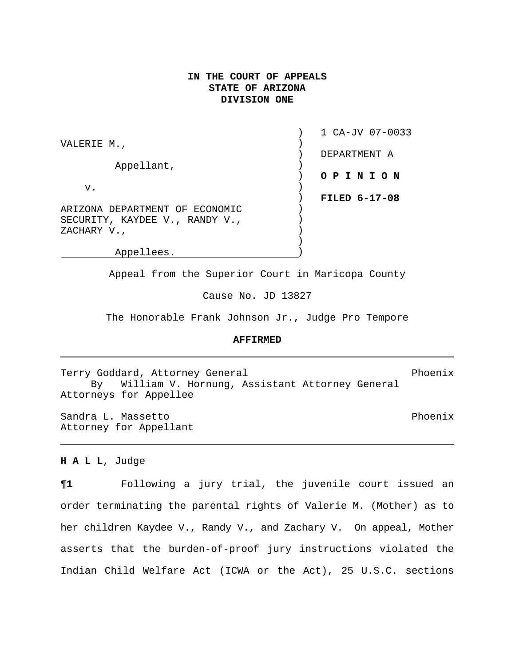# **IN THE COURT OF APPEALS STATE OF ARIZONA DIVISION ONE**

|                                | 1 CA-JV 07-0033      |
|--------------------------------|----------------------|
| VALERIE M.,                    | DEPARTMENT A         |
| Appellant,                     |                      |
|                                | O P I N I O N        |
| v.                             |                      |
|                                | <b>FILED 6-17-08</b> |
| ARIZONA DEPARTMENT OF ECONOMIC |                      |
| SECURITY, KAYDEE V., RANDY V., |                      |
| ZACHARY V.,                    |                      |
|                                |                      |

Appellees. )

Appeal from the Superior Court in Maricopa County

Cause No. JD 13827

The Honorable Frank Johnson Jr., Judge Pro Tempore

### **AFFIRMED**

Terry Goddard, Attorney General extendions of the Phoenix By William V. Hornung, Assistant Attorney General Attorneys for Appellee

Sandra L. Massetto **Phoenix** Attorney for Appellant

#### **H A L L**, Judge

**¶1** Following a jury trial, the juvenile court issued an order terminating the parental rights of Valerie M. (Mother) as to her children Kaydee V., Randy V., and Zachary V. On appeal, Mother asserts that the burden-of-proof jury instructions violated the Indian Child Welfare Act (ICWA or the Act), 25 U.S.C. sections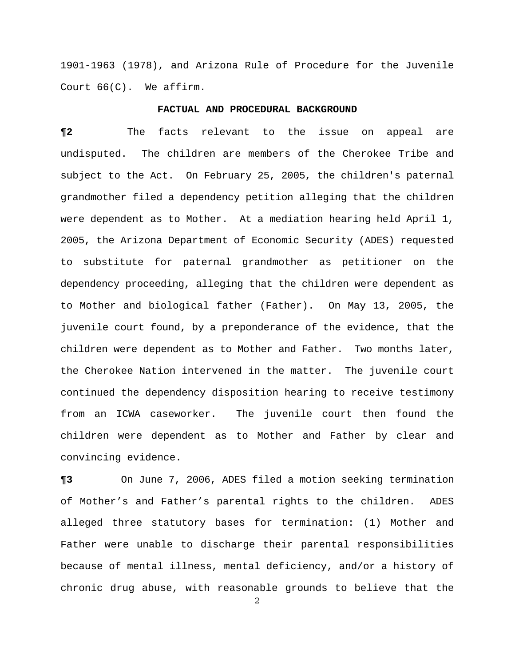1901-1963 (1978), and Arizona Rule of Procedure for the Juvenile Court 66(C). We affirm.

### **FACTUAL AND PROCEDURAL BACKGROUND**

**¶2** The facts relevant to the issue on appeal are undisputed. The children are members of the Cherokee Tribe and subject to the Act. On February 25, 2005, the children's paternal grandmother filed a dependency petition alleging that the children were dependent as to Mother. At a mediation hearing held April 1, 2005, the Arizona Department of Economic Security (ADES) requested to substitute for paternal grandmother as petitioner on the dependency proceeding, alleging that the children were dependent as to Mother and biological father (Father). On May 13, 2005, the juvenile court found, by a preponderance of the evidence, that the children were dependent as to Mother and Father. Two months later, the Cherokee Nation intervened in the matter. The juvenile court continued the dependency disposition hearing to receive testimony from an ICWA caseworker. The juvenile court then found the children were dependent as to Mother and Father by clear and convincing evidence.

**¶3** On June 7, 2006, ADES filed a motion seeking termination of Mother's and Father's parental rights to the children. ADES alleged three statutory bases for termination: (1) Mother and Father were unable to discharge their parental responsibilities because of mental illness, mental deficiency, and/or a history of chronic drug abuse, with reasonable grounds to believe that the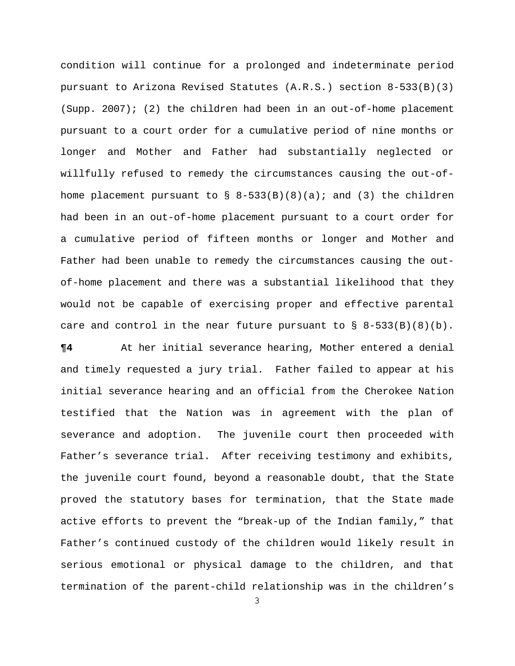condition will continue for a prolonged and indeterminate period pursuant to Arizona Revised Statutes (A.R.S.) section 8-533(B)(3) (Supp. 2007); (2) the children had been in an out-of-home placement pursuant to a court order for a cumulative period of nine months or longer and Mother and Father had substantially neglected or willfully refused to remedy the circumstances causing the out-ofhome placement pursuant to  $\S$  8-533(B)(8)(a); and (3) the children had been in an out-of-home placement pursuant to a court order for a cumulative period of fifteen months or longer and Mother and Father had been unable to remedy the circumstances causing the outof-home placement and there was a substantial likelihood that they would not be capable of exercising proper and effective parental care and control in the near future pursuant to  $\S$  8-533(B)(8)(b).

**¶4** At her initial severance hearing, Mother entered a denial and timely requested a jury trial. Father failed to appear at his initial severance hearing and an official from the Cherokee Nation testified that the Nation was in agreement with the plan of severance and adoption. The juvenile court then proceeded with Father's severance trial. After receiving testimony and exhibits, the juvenile court found, beyond a reasonable doubt, that the State proved the statutory bases for termination, that the State made active efforts to prevent the "break-up of the Indian family," that Father's continued custody of the children would likely result in serious emotional or physical damage to the children, and that termination of the parent-child relationship was in the children's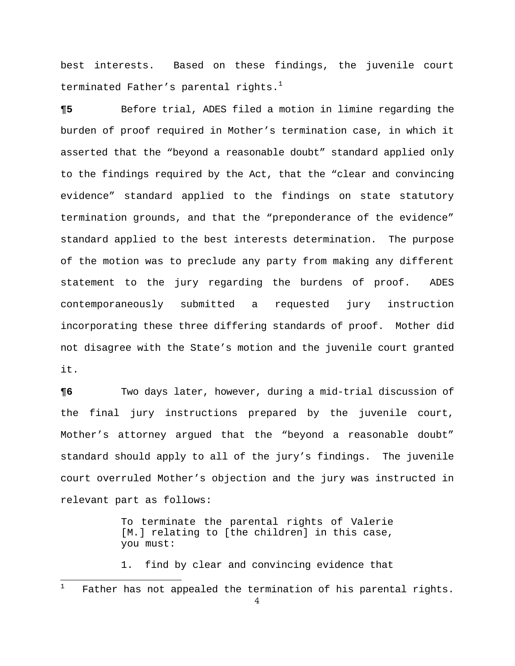best interests. Based on these findings, the juvenile court terminated Father's parental rights. $^1$  $^1$ 

**¶5** Before trial, ADES filed a motion in limine regarding the burden of proof required in Mother's termination case, in which it asserted that the "beyond a reasonable doubt" standard applied only to the findings required by the Act, that the "clear and convincing evidence" standard applied to the findings on state statutory termination grounds, and that the "preponderance of the evidence" standard applied to the best interests determination. The purpose of the motion was to preclude any party from making any different statement to the jury regarding the burdens of proof. ADES contemporaneously submitted a requested jury instruction incorporating these three differing standards of proof. Mother did not disagree with the State's motion and the juvenile court granted it.

**¶6** Two days later, however, during a mid-trial discussion of the final jury instructions prepared by the juvenile court, Mother's attorney argued that the "beyond a reasonable doubt" standard should apply to all of the jury's findings. The juvenile court overruled Mother's objection and the jury was instructed in relevant part as follows:

> To terminate the parental rights of Valerie [M.] relating to [the children] in this case, you must:

> 1. find by clear and convincing evidence that

 $\overline{a}$ 

<span id="page-3-0"></span><sup>1</sup> Father has not appealed the termination of his parental rights.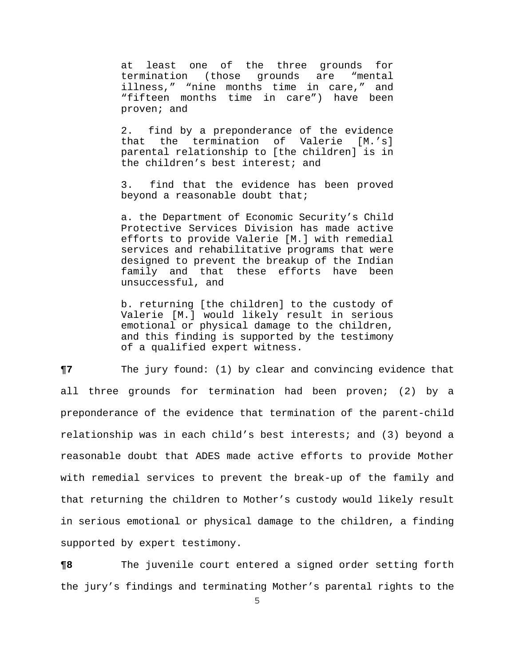at least one of the three grounds for termination (those grounds are "mental illness," "nine months time in care," and "fifteen months time in care") have been proven; and

2. find by a preponderance of the evidence that the termination of Valerie [M.'s] parental relationship to [the children] is in the children's best interest; and

3. find that the evidence has been proved beyond a reasonable doubt that;

a. the Department of Economic Security's Child Protective Services Division has made active efforts to provide Valerie [M.] with remedial services and rehabilitative programs that were designed to prevent the breakup of the Indian family and that these efforts have been unsuccessful, and

b. returning [the children] to the custody of Valerie [M.] would likely result in serious emotional or physical damage to the children, and this finding is supported by the testimony of a qualified expert witness.

**¶7** The jury found: (1) by clear and convincing evidence that all three grounds for termination had been proven; (2) by a preponderance of the evidence that termination of the parent-child relationship was in each child's best interests; and (3) beyond a reasonable doubt that ADES made active efforts to provide Mother with remedial services to prevent the break-up of the family and that returning the children to Mother's custody would likely result in serious emotional or physical damage to the children, a finding supported by expert testimony.

**¶8** The juvenile court entered a signed order setting forth the jury's findings and terminating Mother's parental rights to the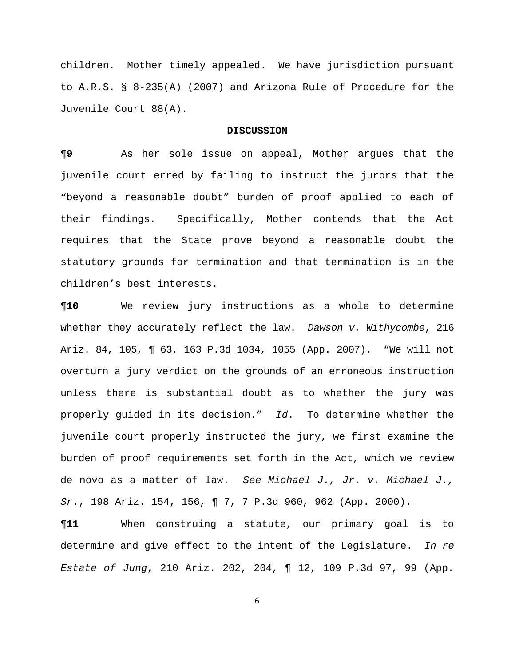children. Mother timely appealed. We have jurisdiction pursuant to A.R.S. § 8-235(A) (2007) and Arizona Rule of Procedure for the Juvenile Court 88(A).

#### **DISCUSSION**

**¶9** As her sole issue on appeal, Mother argues that the juvenile court erred by failing to instruct the jurors that the "beyond a reasonable doubt" burden of proof applied to each of their findings. Specifically, Mother contends that the Act requires that the State prove beyond a reasonable doubt the statutory grounds for termination and that termination is in the children's best interests.

**¶10** We review jury instructions as a whole to determine whether they accurately reflect the law. *Dawson v. Withycombe*, 216 Ariz. 84, 105, ¶ 63, 163 P.3d 1034, 1055 (App. 2007). "We will not overturn a jury verdict on the grounds of an erroneous instruction unless there is substantial doubt as to whether the jury was properly guided in its decision." *Id*. To determine whether the juvenile court properly instructed the jury, we first examine the burden of proof requirements set forth in the Act, which we review de novo as a matter of law. *See Michael J., Jr. v. Michael J., Sr*., 198 Ariz. 154, 156, ¶ 7, 7 P.3d 960, 962 (App. 2000).

**¶11** When construing a statute, our primary goal is to determine and give effect to the intent of the Legislature. *In re Estate of Jung*, 210 Ariz. 202, 204, ¶ 12, 109 P.3d 97, 99 (App.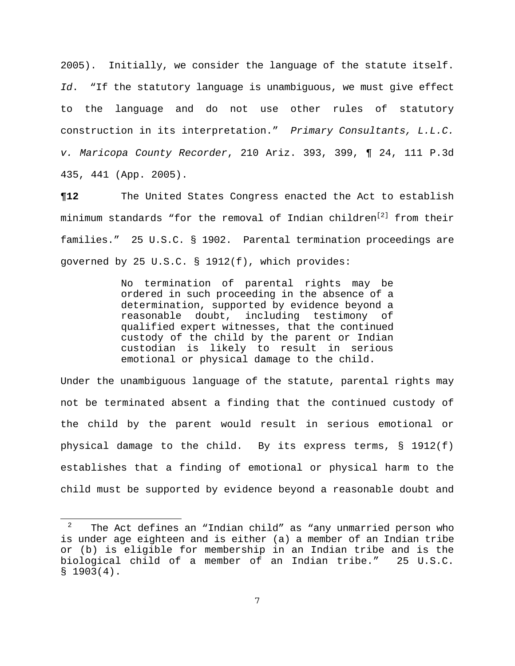2005). Initially, we consider the language of the statute itself. *Id*. "If the statutory language is unambiguous, we must give effect to the language and do not use other rules of statutory construction in its interpretation." *Primary Consultants, L.L.C. v. Maricopa County Recorder*, 210 Ariz. 393, 399, ¶ 24, 111 P.3d 435, 441 (App. 2005).

**¶12** The United States Congress enacted the Act to establish minimum standards "for the removal of Indian children<sup>[2]</sup> from their families." 25 U.S.C. § 1902. Parental termination proceedings are governed by 25 U.S.C. § 1912(f), which provides:

> No termination of parental rights may be ordered in such proceeding in the absence of a determination, supported by evidence beyond a reasonable doubt, including testimony of qualified expert witnesses, that the continued custody of the child by the parent or Indian custodian is likely to result in serious emotional or physical damage to the child.

Under the unambiguous language of the statute, parental rights may not be terminated absent a finding that the continued custody of the child by the parent would result in serious emotional or physical damage to the child. By its express terms,  $\S$  1912(f) establishes that a finding of emotional or physical harm to the child must be supported by evidence beyond a reasonable doubt and

÷,

<span id="page-6-0"></span><sup>2</sup> The Act defines an "Indian child" as "any unmarried person who is under age eighteen and is either (a) a member of an Indian tribe or (b) is eligible for membership in an Indian tribe and is the biological child of a member of an Indian tribe." 25 U.S.C.  $$1903(4).$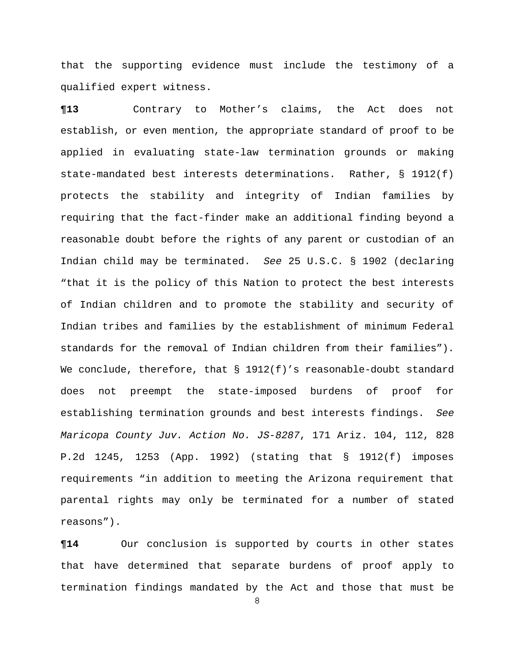that the supporting evidence must include the testimony of a qualified expert witness.

**¶13** Contrary to Mother's claims, the Act does not establish, or even mention, the appropriate standard of proof to be applied in evaluating state-law termination grounds or making state-mandated best interests determinations. Rather, § 1912(f) protects the stability and integrity of Indian families by requiring that the fact-finder make an additional finding beyond a reasonable doubt before the rights of any parent or custodian of an Indian child may be terminated. *See* 25 U.S.C. § 1902 (declaring "that it is the policy of this Nation to protect the best interests of Indian children and to promote the stability and security of Indian tribes and families by the establishment of minimum Federal standards for the removal of Indian children from their families"). We conclude, therefore, that § 1912(f)'s reasonable-doubt standard does not preempt the state-imposed burdens of proof for establishing termination grounds and best interests findings. *See Maricopa County Juv. Action No. JS-8287*, 171 Ariz. 104, 112, 828 P.2d 1245, 1253 (App. 1992) (stating that § 1912(f) imposes requirements "in addition to meeting the Arizona requirement that parental rights may only be terminated for a number of stated reasons").

**¶14** Our conclusion is supported by courts in other states that have determined that separate burdens of proof apply to termination findings mandated by the Act and those that must be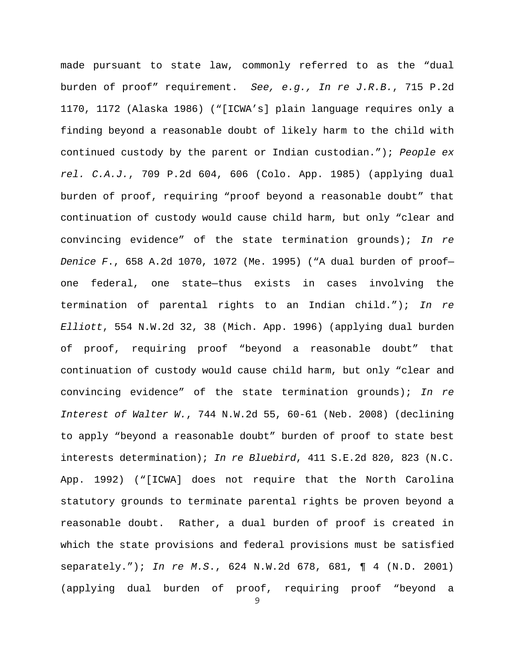made pursuant to state law, commonly referred to as the "dual burden of proof" requirement. *See, e.g., In re J.R.B.*, 715 P.2d 1170, 1172 (Alaska 1986) ("[ICWA's] plain language requires only a finding beyond a reasonable doubt of likely harm to the child with continued custody by the parent or Indian custodian."); *People ex rel. C.A.J.*, 709 P.2d 604, 606 (Colo. App. 1985) (applying dual burden of proof, requiring "proof beyond a reasonable doubt" that continuation of custody would cause child harm, but only "clear and convincing evidence" of the state termination grounds); *In re Denice F*., 658 A.2d 1070, 1072 (Me. 1995) ("A dual burden of proof one federal, one state—thus exists in cases involving the termination of parental rights to an Indian child."); *In re Elliott*, 554 N.W.2d 32, 38 (Mich. App. 1996) (applying dual burden of proof, requiring proof "beyond a reasonable doubt" that continuation of custody would cause child harm, but only "clear and convincing evidence" of the state termination grounds); *In re Interest of Walter W.*, 744 N.W.2d 55, 60-61 (Neb. 2008) (declining to apply "beyond a reasonable doubt" burden of proof to state best interests determination); *In re Bluebird*, 411 S.E.2d 820, 823 (N.C. App. 1992) ("[ICWA] does not require that the North Carolina statutory grounds to terminate parental rights be proven beyond a reasonable doubt. Rather, a dual burden of proof is created in which the state provisions and federal provisions must be satisfied separately."); *In re M.S*., 624 N.W.2d 678, 681, ¶ 4 (N.D. 2001) (applying dual burden of proof, requiring proof "beyond a

 $\mathsf{Q}$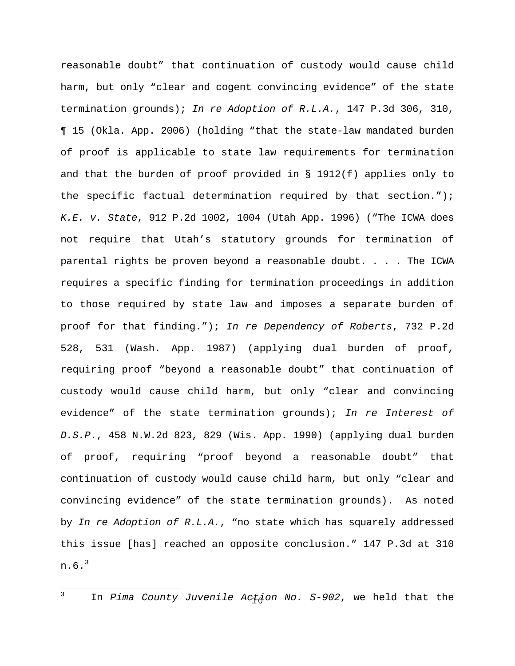reasonable doubt" that continuation of custody would cause child harm, but only "clear and cogent convincing evidence" of the state termination grounds); *In re Adoption of R.L.A.*, 147 P.3d 306, 310, ¶ 15 (Okla. App. 2006) (holding "that the state-law mandated burden of proof is applicable to state law requirements for termination and that the burden of proof provided in § 1912(f) applies only to the specific factual determination required by that section."); *K.E. v. State*, 912 P.2d 1002, 1004 (Utah App. 1996) ("The ICWA does not require that Utah's statutory grounds for termination of parental rights be proven beyond a reasonable doubt. . . . The ICWA requires a specific finding for termination proceedings in addition to those required by state law and imposes a separate burden of proof for that finding."); *In re Dependency of Roberts*, 732 P.2d 528, 531 (Wash. App. 1987) (applying dual burden of proof, requiring proof "beyond a reasonable doubt" that continuation of custody would cause child harm, but only "clear and convincing evidence" of the state termination grounds); *In re Interest of D.S.P*., 458 N.W.2d 823, 829 (Wis. App. 1990) (applying dual burden of proof, requiring "proof beyond a reasonable doubt" that continuation of custody would cause child harm, but only "clear and convincing evidence" of the state termination grounds). As noted by *In re Adoption of R.L.A.*, "no state which has squarely addressed this issue [has] reached an opposite conclusion." 147 P.3d at 310 n.6.[3](#page-9-0)

 $\mathbf{3}$ 

<span id="page-9-0"></span><sup>&</sup>lt;sup>3</sup> In *Pima County Juvenile Actdon No. S-902*, we held that the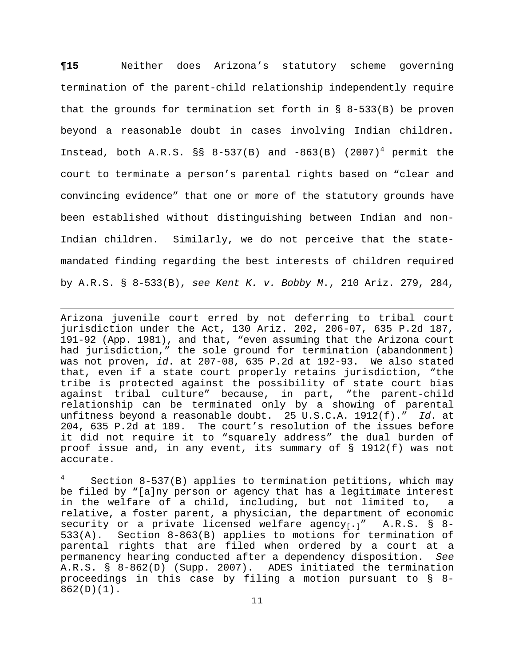**¶15** Neither does Arizona's statutory scheme governing termination of the parent-child relationship independently require that the grounds for termination set forth in  $\S$  8-533(B) be proven beyond a reasonable doubt in cases involving Indian children. Instead, both A.R.S.  $\S$ S 8-537(B) and -863(B) (2007)<sup>[4](#page-10-0)</sup> permit the court to terminate a person's parental rights based on "clear and convincing evidence" that one or more of the statutory grounds have been established without distinguishing between Indian and non-Indian children. Similarly, we do not perceive that the statemandated finding regarding the best interests of children required by A.R.S. § 8-533(B), *see Kent K. v. Bobby M*., 210 Ariz. 279, 284,

Arizona juvenile court erred by not deferring to tribal court jurisdiction under the Act, 130 Ariz. 202, 206-07, 635 P.2d 187, 191-92 (App. 1981), and that, "even assuming that the Arizona court had jurisdiction," the sole ground for termination (abandonment) was not proven, *id*. at 207-08, 635 P.2d at 192-93. We also stated that, even if a state court properly retains jurisdiction, "the tribe is protected against the possibility of state court bias against tribal culture" because, in part, "the parent-child relationship can be terminated only by a showing of parental unfitness beyond a reasonable doubt. 25 U.S.C.A. 1912(f)." *Id*. at 204, 635 P.2d at 189. The court's resolution of the issues before it did not require it to "squarely address" the dual burden of proof issue and, in any event, its summary of § 1912(f) was not accurate.

—<br>—

<span id="page-10-0"></span>4 Section 8-537(B) applies to termination petitions, which may be filed by "[a]ny person or agency that has a legitimate interest in the welfare of a child, including, but not limited to, a relative, a foster parent, a physician, the department of economic security or a private licensed welfare agency $[0, 1]$ " A.R.S. § 8-533(A). Section 8-863(B) applies to motions for termination of parental rights that are filed when ordered by a court at a permanency hearing conducted after a dependency disposition. *See*  A.R.S. § 8-862(D) (Supp. 2007). ADES initiated the termination proceedings in this case by filing a motion pursuant to § 8-  $862(D)(1)$ .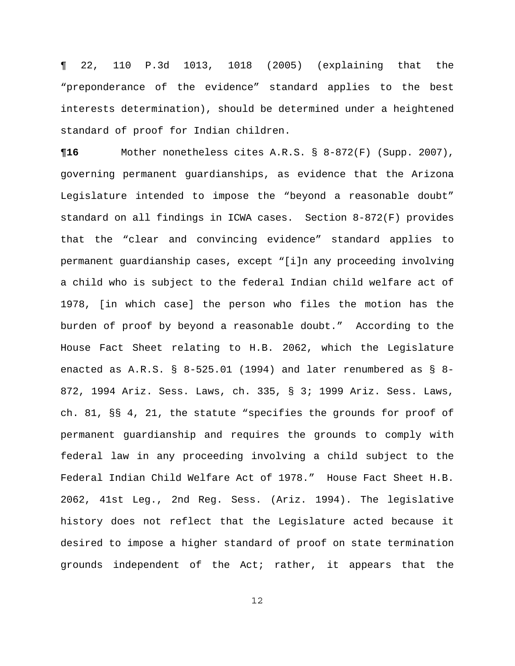¶ 22, 110 P.3d 1013, 1018 (2005) (explaining that the "preponderance of the evidence" standard applies to the best interests determination), should be determined under a heightened standard of proof for Indian children.

**¶16** Mother nonetheless cites A.R.S. § 8-872(F) (Supp. 2007), governing permanent guardianships, as evidence that the Arizona Legislature intended to impose the "beyond a reasonable doubt" standard on all findings in ICWA cases. Section 8-872(F) provides that the "clear and convincing evidence" standard applies to permanent guardianship cases, except "[i]n any proceeding involving a child who is subject to the federal Indian child welfare act of 1978, [in which case] the person who files the motion has the burden of proof by beyond a reasonable doubt." According to the House Fact Sheet relating to H.B. 2062, which the Legislature enacted as A.R.S. § 8-525.01 (1994) and later renumbered as § 8- 872, 1994 Ariz. Sess. Laws, ch. 335, § 3; 1999 Ariz. Sess. Laws, ch. 81, §§ 4, 21, the statute "specifies the grounds for proof of permanent guardianship and requires the grounds to comply with federal law in any proceeding involving a child subject to the Federal Indian Child Welfare Act of 1978." House Fact Sheet H.B. 2062, 41st Leg., 2nd Reg. Sess. (Ariz. 1994). The legislative history does not reflect that the Legislature acted because it desired to impose a higher standard of proof on state termination grounds independent of the Act; rather, it appears that the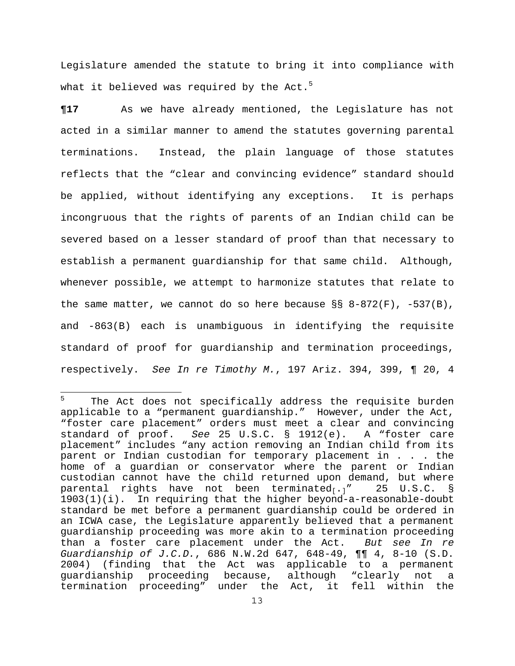Legislature amended the statute to bring it into compliance with what it believed was required by the Act. $5$ 

**¶17** As we have already mentioned, the Legislature has not acted in a similar manner to amend the statutes governing parental terminations. Instead, the plain language of those statutes reflects that the "clear and convincing evidence" standard should be applied, without identifying any exceptions. It is perhaps incongruous that the rights of parents of an Indian child can be severed based on a lesser standard of proof than that necessary to establish a permanent guardianship for that same child. Although, whenever possible, we attempt to harmonize statutes that relate to the same matter, we cannot do so here because  $\S$ § 8-872(F), -537(B), and -863(B) each is unambiguous in identifying the requisite standard of proof for guardianship and termination proceedings, respectively. *See In re Timothy M.*, 197 Ariz. 394, 399, ¶ 20, 4

<span id="page-12-0"></span><sup>5</sup> The Act does not specifically address the requisite burden applicable to a "permanent guardianship." However, under the Act, "foster care placement" orders must meet a clear and convincing standard of proof. *See* 25 U.S.C. § 1912(e). A "foster care placement" includes "any action removing an Indian child from its parent or Indian custodian for temporary placement in . . . the home of a guardian or conservator where the parent or Indian custodian cannot have the child returned upon demand, but where parental rights have not been terminated<sub>[.]</sub>" 25 U.S.C. § 1903(1)(i). In requiring that the higher beyond-a-reasonable-doubt standard be met before a permanent guardianship could be ordered in an ICWA case, the Legislature apparently believed that a permanent guardianship proceeding was more akin to a termination proceeding than a foster care placement under the Act. *But see In re Guardianship of J.C.D.*, 686 N.W.2d 647, 648-49, ¶¶ 4, 8-10 (S.D. 2004) (finding that the Act was applicable to a permanent guardianship proceeding because, although "clearly not a termination proceeding" under the Act, it fell within the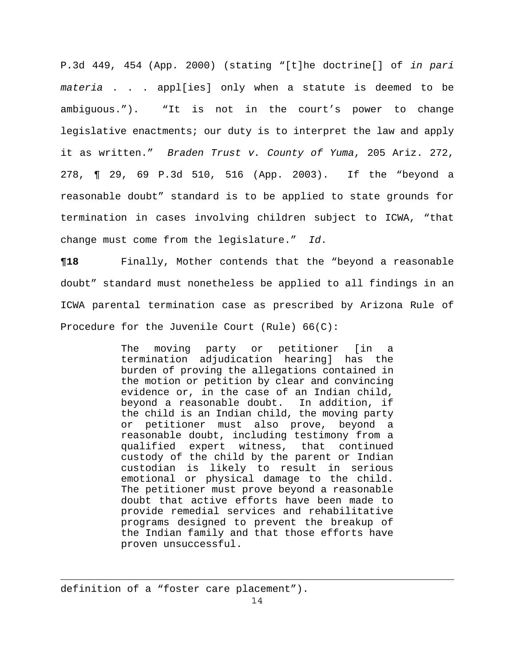P.3d 449, 454 (App. 2000) (stating "[t]he doctrine[] of *in pari materia* . . . appl[ies] only when a statute is deemed to be ambiguous."). "It is not in the court's power to change legislative enactments; our duty is to interpret the law and apply it as written." *Braden Trust v. County of Yuma*, 205 Ariz. 272, 278, ¶ 29, 69 P.3d 510, 516 (App. 2003). If the "beyond a reasonable doubt" standard is to be applied to state grounds for termination in cases involving children subject to ICWA, "that change must come from the legislature." *Id*.

**¶18** Finally, Mother contends that the "beyond a reasonable doubt" standard must nonetheless be applied to all findings in an ICWA parental termination case as prescribed by Arizona Rule of Procedure for the Juvenile Court (Rule) 66(C):

> The moving party or petitioner [in a termination adjudication hearing] has the burden of proving the allegations contained in the motion or petition by clear and convincing evidence or, in the case of an Indian child, beyond a reasonable doubt. In addition, if the child is an Indian child, the moving party or petitioner must also prove, beyond a reasonable doubt, including testimony from a qualified expert witness, that continued custody of the child by the parent or Indian custodian is likely to result in serious emotional or physical damage to the child. The petitioner must prove beyond a reasonable doubt that active efforts have been made to provide remedial services and rehabilitative programs designed to prevent the breakup of the Indian family and that those efforts have proven unsuccessful.

definition of a "foster care placement").

÷.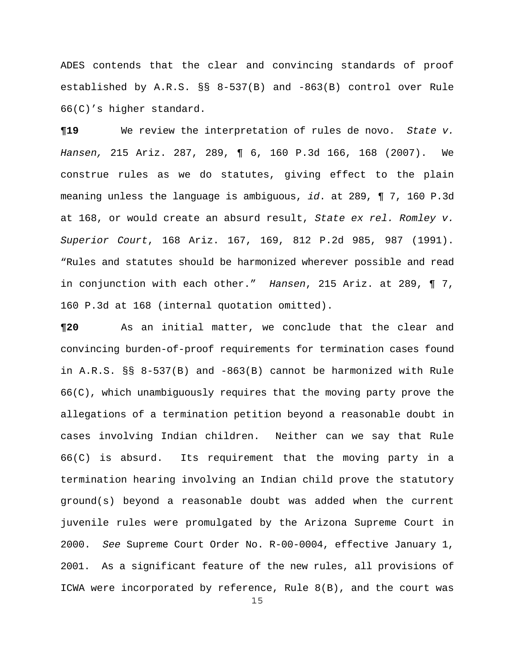ADES contends that the clear and convincing standards of proof established by A.R.S. §§ 8-537(B) and -863(B) control over Rule 66(C)'s higher standard.

**¶19** We review the interpretation of rules de novo. *State v. Hansen,* 215 Ariz. 287, 289, ¶ 6, 160 P.3d 166, 168 (2007). We construe rules as we do statutes, giving effect to the plain meaning unless the language is ambiguous, *id*. at 289, ¶ 7, 160 P.3d at 168, or would create an absurd result, *State ex rel. Romley v. Superior Court*, 168 Ariz. 167, 169, 812 P.2d 985, 987 (1991). "Rules and statutes should be harmonized wherever possible and read in conjunction with each other." *Hansen*, 215 Ariz. at 289, ¶ 7, 160 P.3d at 168 (internal quotation omitted).

**¶20** As an initial matter, we conclude that the clear and convincing burden-of-proof requirements for termination cases found in A.R.S. §§ 8-537(B) and -863(B) cannot be harmonized with Rule 66(C), which unambiguously requires that the moving party prove the allegations of a termination petition beyond a reasonable doubt in cases involving Indian children. Neither can we say that Rule 66(C) is absurd. Its requirement that the moving party in a termination hearing involving an Indian child prove the statutory ground(s) beyond a reasonable doubt was added when the current juvenile rules were promulgated by the Arizona Supreme Court in 2000. *See* Supreme Court Order No. R-00-0004, effective January 1, 2001. As a significant feature of the new rules, all provisions of ICWA were incorporated by reference, Rule 8(B), and the court was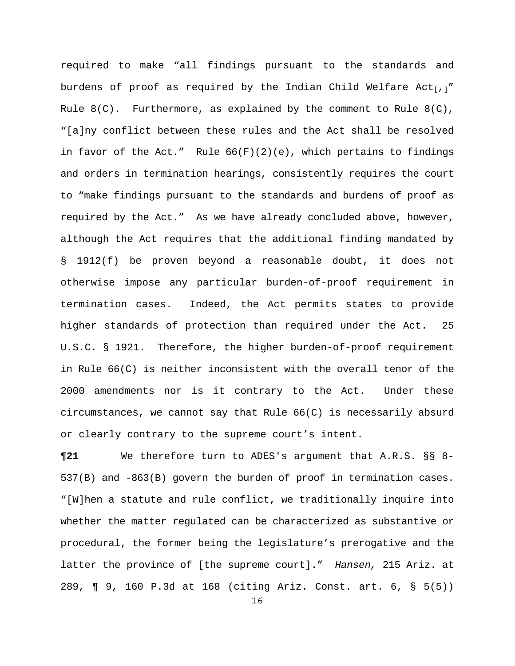required to make "all findings pursuant to the standards and burdens of proof as required by the Indian Child Welfare Act<sub>[,]</sub>" Rule  $8(C)$ . Furthermore, as explained by the comment to Rule  $8(C)$ , "[a]ny conflict between these rules and the Act shall be resolved in favor of the Act." Rule  $66(F)(2)(e)$ , which pertains to findings and orders in termination hearings, consistently requires the court to "make findings pursuant to the standards and burdens of proof as required by the Act." As we have already concluded above, however, although the Act requires that the additional finding mandated by § 1912(f) be proven beyond a reasonable doubt, it does not otherwise impose any particular burden-of-proof requirement in termination cases. Indeed, the Act permits states to provide higher standards of protection than required under the Act. 25 U.S.C. § 1921. Therefore, the higher burden-of-proof requirement in Rule 66(C) is neither inconsistent with the overall tenor of the 2000 amendments nor is it contrary to the Act. Under these circumstances, we cannot say that Rule 66(C) is necessarily absurd or clearly contrary to the supreme court's intent.

**¶21** We therefore turn to ADES's argument that A.R.S. §§ 8- 537(B) and -863(B) govern the burden of proof in termination cases. "[W]hen a statute and rule conflict, we traditionally inquire into whether the matter regulated can be characterized as substantive or procedural, the former being the legislature's prerogative and the latter the province of [the supreme court]." *Hansen,* 215 Ariz. at 289, ¶ 9, 160 P.3d at 168 (citing Ariz. Const. art. 6, § 5(5))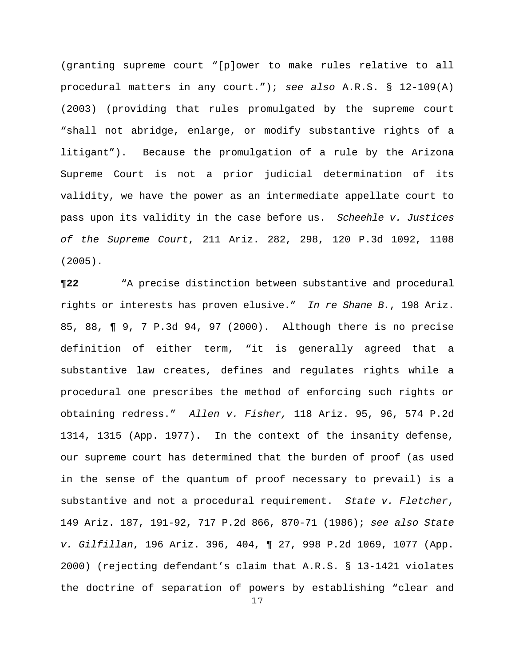(granting supreme court "[p]ower to make rules relative to all procedural matters in any court."); *see also* A.R.S. § 12-109(A) (2003) (providing that rules promulgated by the supreme court "shall not abridge, enlarge, or modify substantive rights of a litigant"). Because the promulgation of a rule by the Arizona Supreme Court is not a prior judicial determination of its validity, we have the power as an intermediate appellate court to pass upon its validity in the case before us. *Scheehle v. Justices of the Supreme Court*, 211 Ariz. 282, 298, 120 P.3d 1092, 1108 (2005).

**¶22** "A precise distinction between substantive and procedural rights or interests has proven elusive." *In re Shane B.*, 198 Ariz. 85, 88, ¶ 9, 7 P.3d 94, 97 (2000). Although there is no precise definition of either term, "it is generally agreed that a substantive law creates, defines and regulates rights while a procedural one prescribes the method of enforcing such rights or obtaining redress." *Allen v. Fisher,* [118 Ariz. 95, 96, 574 P.2d](http://web2.westlaw.com/find/default.wl?rs=WLW8.04&serialnum=1978194464&fn=_top&sv=Split&tc=-1&findtype=Y&tf=-1&db=661&vr=2.0&rp=%2ffind%2fdefault.wl&mt=Westlaw)  [1314, 1315 \(App. 1977\)](http://web2.westlaw.com/find/default.wl?rs=WLW8.04&serialnum=1978194464&fn=_top&sv=Split&tc=-1&findtype=Y&tf=-1&db=661&vr=2.0&rp=%2ffind%2fdefault.wl&mt=Westlaw). In the context of the insanity defense, our supreme court has determined that the burden of proof (as used in the sense of the quantum of proof necessary to prevail) is a substantive and not a procedural requirement. *State v. Fletcher*, 149 Ariz. 187, 191-92, 717 P.2d 866, 870-71 (1986); *see also State v. Gilfillan*, 196 Ariz. 396, 404, ¶ 27, 998 P.2d 1069, 1077 (App. 2000) (rejecting defendant's claim that A.R.S. § 13-1421 violates the doctrine of separation of powers by establishing "clear and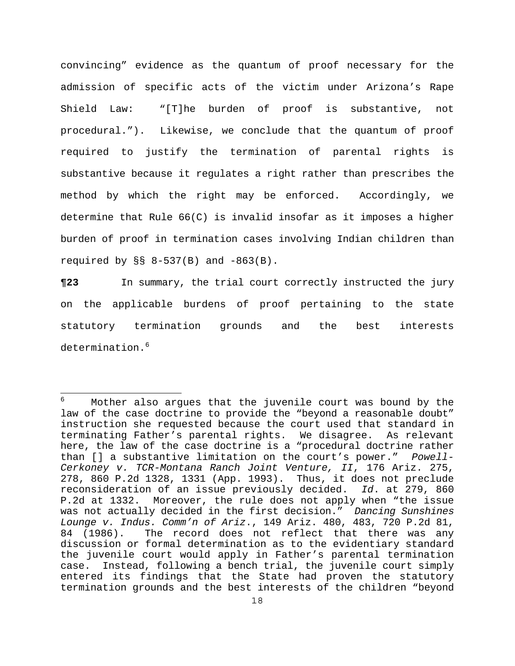convincing" evidence as the quantum of proof necessary for the admission of specific acts of the victim under Arizona's Rape Shield Law: "[T]he burden of proof is substantive, not procedural."). Likewise, we conclude that the quantum of proof required to justify the termination of parental rights is substantive because it regulates a right rather than prescribes the method by which the right may be enforced. Accordingly, we determine that Rule 66(C) is invalid insofar as it imposes a higher burden of proof in termination cases involving Indian children than required by  $\S$ § 8-537(B) and  $-863(B)$ .

**¶23** In summary, the trial court correctly instructed the jury on the applicable burdens of proof pertaining to the state statutory termination grounds and the best interests determination.<sup>[6](#page-17-0)</sup>

<span id="page-17-0"></span><sup>÷</sup> 6 Mother also argues that the juvenile court was bound by the law of the case doctrine to provide the "beyond a reasonable doubt" instruction she requested because the court used that standard in terminating Father's parental rights. We disagree. As relevant here, the law of the case doctrine is a "procedural doctrine rather than [] a substantive limitation on the court's power." *Powell-Cerkoney v. TCR-Montana Ranch Joint Venture, II*, 176 Ariz. 275, 278, 860 P.2d 1328, 1331 (App. 1993). Thus, it does not preclude reconsideration of an issue previously decided. *Id*. at 279, 860 P.2d at 1332. Moreover, the rule does not apply when "the issue was not actually decided in the first decision." *Dancing Sunshines Lounge v. Indus. Comm'n of Ariz*., 149 Ariz. 480, 483, 720 P.2d 81, 84 (1986). The record does not reflect that there was any discussion or formal determination as to the evidentiary standard the juvenile court would apply in Father's parental termination case. Instead, following a bench trial, the juvenile court simply entered its findings that the State had proven the statutory termination grounds and the best interests of the children "beyond